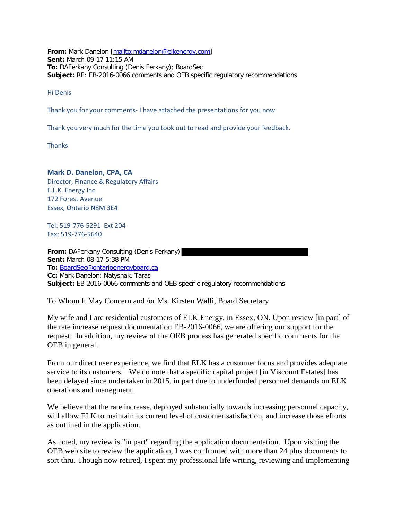**From:** Mark Danelon [mailto:mdanelon@elkenergy.com] **Sent:** March-09-17 11:15 AM **To:** DAFerkany Consulting (Denis Ferkany); BoardSec **Subject:** RE: EB-2016-0066 comments and OEB specific regulatory recommendations

Hi Denis

Thank you for your comments- I have attached the presentations for you now

Thank you very much for the time you took out to read and provide your feedback.

**Thanks** 

## **Mark D. Danelon, CPA, CA** Director, Finance & Regulatory Affairs E.L.K. Energy Inc 172 Forest Avenue Essex, Ontario N8M 3E4

Tel: 519-776-5291 Ext 204 Fax: 519-776-5640

**From:** DAFerkany Consulting (Denis Ferkany) **Sent:** March-08-17 5:38 PM **To:** BoardSec@ontarioenergyboard.ca **Cc:** Mark Danelon; Natyshak, Taras **Subject:** EB-2016-0066 comments and OEB specific regulatory recommendations

To Whom It May Concern and /or Ms. Kirsten Walli, Board Secretary

My wife and I are residential customers of ELK Energy, in Essex, ON. Upon review [in part] of the rate increase request documentation EB-2016-0066, we are offering our support for the request. In addition, my review of the OEB process has generated specific comments for the OEB in general.

From our direct user experience, we find that ELK has a customer focus and provides adequate service to its customers. We do note that a specific capital project [in Viscount Estates] has been delayed since undertaken in 2015, in part due to underfunded personnel demands on ELK operations and manegment.

We believe that the rate increase, deployed substantially towards increasing personnel capacity, will allow ELK to maintain its current level of customer satisfaction, and increase those efforts as outlined in the application.

As noted, my review is "in part" regarding the application documentation. Upon visiting the OEB web site to review the application, I was confronted with more than 24 plus documents to sort thru. Though now retired, I spent my professional life writing, reviewing and implementing